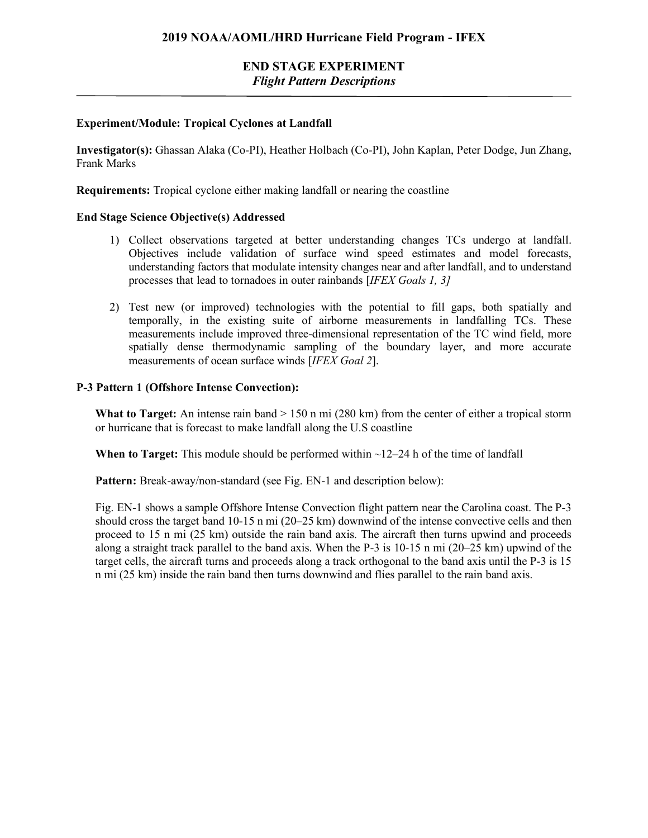#### **Experiment/Module: Tropical Cyclones at Landfall**

**Investigator(s):** Ghassan Alaka (Co-PI), Heather Holbach (Co-PI), John Kaplan, Peter Dodge, Jun Zhang, Frank Marks

**Requirements:** Tropical cyclone either making landfall or nearing the coastline

#### **End Stage Science Objective(s) Addressed**

- 1) Collect observations targeted at better understanding changes TCs undergo at landfall. Objectives include validation of surface wind speed estimates and model forecasts, understanding factors that modulate intensity changes near and after landfall, and to understand processes that lead to tornadoes in outer rainbands [*IFEX Goals 1, 3]*
- 2) Test new (or improved) technologies with the potential to fill gaps, both spatially and temporally, in the existing suite of airborne measurements in landfalling TCs. These measurements include improved three-dimensional representation of the TC wind field, more spatially dense thermodynamic sampling of the boundary layer, and more accurate measurements of ocean surface winds [*IFEX Goal 2*].

#### **P-3 Pattern 1 (Offshore Intense Convection):**

**What to Target:** An intense rain band > 150 n mi (280 km) from the center of either a tropical storm or hurricane that is forecast to make landfall along the U.S coastline

**When to Target:** This module should be performed within  $\sim$ 12–24 h of the time of landfall

**Pattern:** Break-away/non-standard (see Fig. EN-1 and description below):

Fig. EN-1 shows a sample Offshore Intense Convection flight pattern near the Carolina coast. The P-3 should cross the target band 10-15 n mi (20–25 km) downwind of the intense convective cells and then proceed to 15 n mi (25 km) outside the rain band axis. The aircraft then turns upwind and proceeds along a straight track parallel to the band axis. When the P-3 is 10-15 n mi (20–25 km) upwind of the target cells, the aircraft turns and proceeds along a track orthogonal to the band axis until the P-3 is 15 n mi (25 km) inside the rain band then turns downwind and flies parallel to the rain band axis.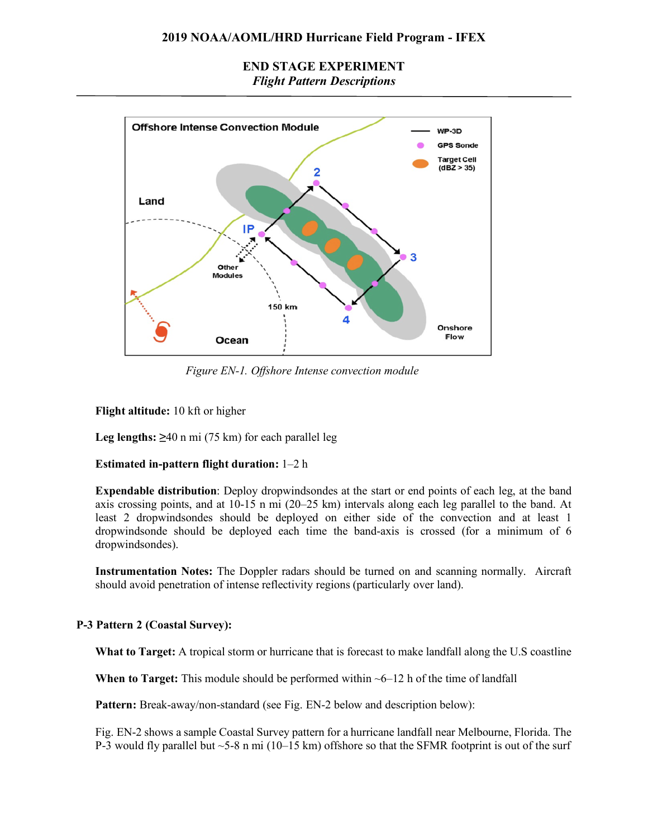### **2019 NOAA/AOML/HRD Hurricane Field Program - IFEX**

### **END STAGE EXPERIMENT** *Flight Pattern Descriptions*



*Figure EN-1. Offshore Intense convection module*

#### **Flight altitude:** 10 kft or higher

**Leg lengths:**  $\geq 40$  n mi (75 km) for each parallel leg

#### **Estimated in-pattern flight duration:** 1–2 h

**Expendable distribution**: Deploy dropwindsondes at the start or end points of each leg, at the band axis crossing points, and at 10-15 n mi (20–25 km) intervals along each leg parallel to the band. At least 2 dropwindsondes should be deployed on either side of the convection and at least 1 dropwindsonde should be deployed each time the band-axis is crossed (for a minimum of 6 dropwindsondes).

**Instrumentation Notes:** The Doppler radars should be turned on and scanning normally. Aircraft should avoid penetration of intense reflectivity regions (particularly over land).

## **P-3 Pattern 2 (Coastal Survey):**

**What to Target:** A tropical storm or hurricane that is forecast to make landfall along the U.S coastline

**When to Target:** This module should be performed within  $\sim$  6–12 h of the time of landfall

**Pattern:** Break-away/non-standard (see Fig. EN-2 below and description below):

Fig. EN-2 shows a sample Coastal Survey pattern for a hurricane landfall near Melbourne, Florida. The P-3 would fly parallel but  $\sim$  5-8 n mi (10–15 km) offshore so that the SFMR footprint is out of the surf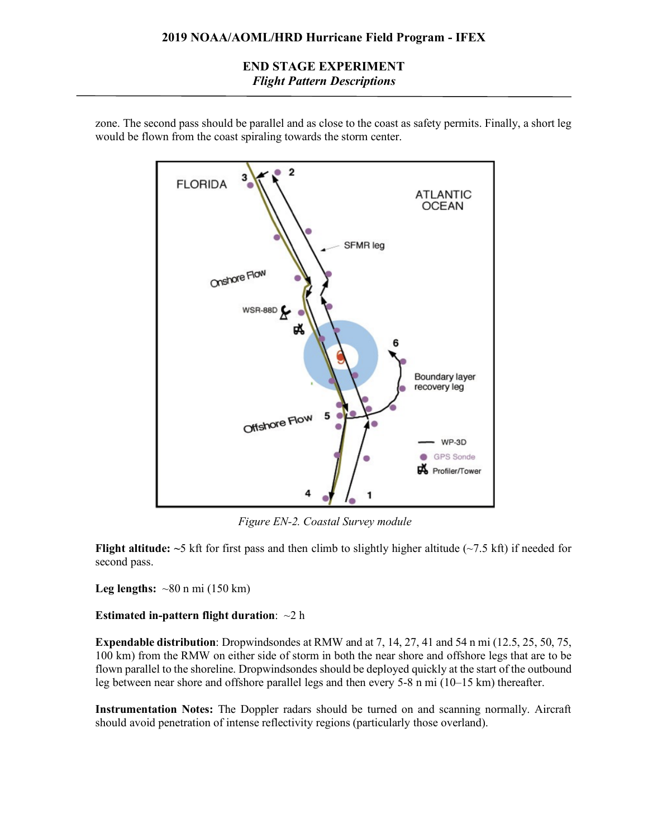

zone. The second pass should be parallel and as close to the coast as safety permits. Finally, a short leg would be flown from the coast spiraling towards the storm center.

*Figure EN-2. Coastal Survey module*

**Flight altitude:**  $\sim$ 5 kft for first pass and then climb to slightly higher altitude ( $\sim$ 7.5 kft) if needed for second pass.

**Leg lengths:**  $\sim 80$  n mi (150 km)

#### **Estimated in-pattern flight duration**: ~2 h

**Expendable distribution**: Dropwindsondes at RMW and at 7, 14, 27, 41 and 54 n mi (12.5, 25, 50, 75, 100 km) from the RMW on either side of storm in both the near shore and offshore legs that are to be flown parallel to the shoreline. Dropwindsondes should be deployed quickly at the start of the outbound leg between near shore and offshore parallel legs and then every 5-8 n mi (10–15 km) thereafter.

**Instrumentation Notes:** The Doppler radars should be turned on and scanning normally. Aircraft should avoid penetration of intense reflectivity regions (particularly those overland).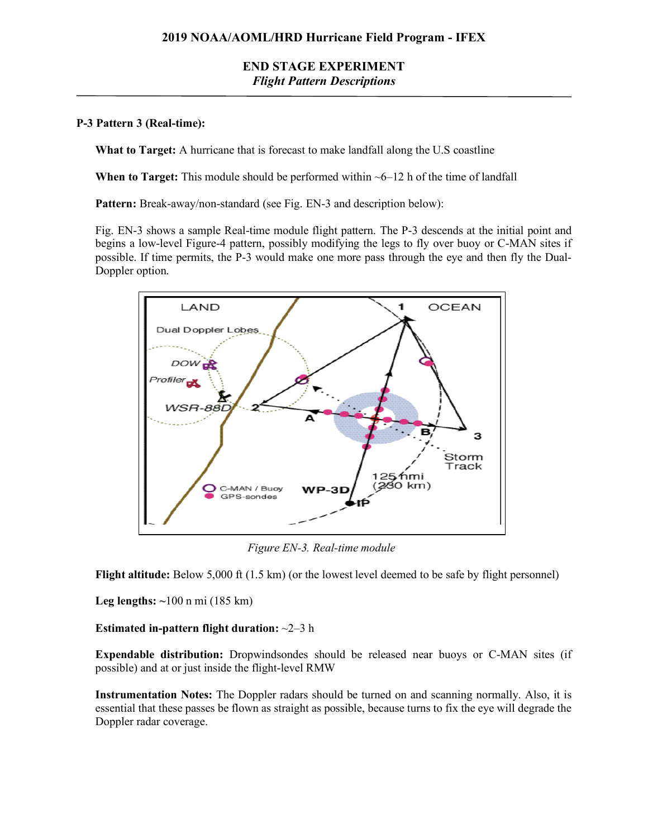### **P-3 Pattern 3 (Real-time):**

**What to Target:** A hurricane that is forecast to make landfall along the U.S coastline

**When to Target:** This module should be performed within  $\sim$  6–12 h of the time of landfall

Pattern: Break-away/non-standard (see Fig. EN-3 and description below):

Fig. EN-3 shows a sample Real-time module flight pattern. The P-3 descends at the initial point and begins a low-level Figure-4 pattern, possibly modifying the legs to fly over buoy or C-MAN sites if possible. If time permits, the P-3 would make one more pass through the eye and then fly the Dual-Doppler option.



*Figure EN-3. Real-time module*

Flight altitude: Below 5,000 ft (1.5 km) (or the lowest level deemed to be safe by flight personnel)

**Leg lengths: ~**100 n mi (185 km)

**Estimated in-pattern flight duration:** ~2–3 h

**Expendable distribution:** Dropwindsondes should be released near buoys or C-MAN sites (if possible) and at or just inside the flight-level RMW

**Instrumentation Notes:** The Doppler radars should be turned on and scanning normally. Also, it is essential that these passes be flown as straight as possible, because turns to fix the eye will degrade the Doppler radar coverage.